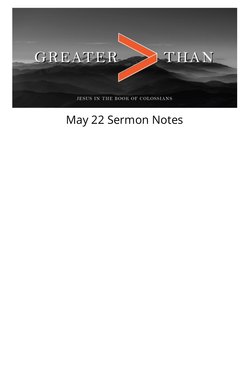

## May 22 Sermon Notes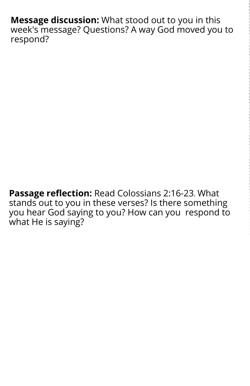**Message discussion:** What stood out to you in this week's message? Questions? A way God moved you to respond?

**Passage reflection:** Read Colossians 2:16-23. What stands out to you in these verses? Is there something you hear God saying to you? How can you respond to what He is saying?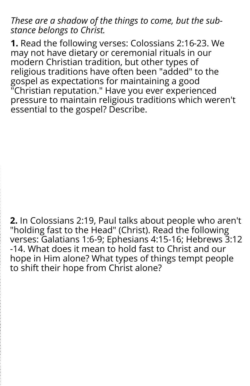## *These are a shadow of the things to come, but the substance belongs to Christ.*

**1.** Read the following verses: Colossians 2:16-23. We may not have dietary or ceremonial rituals in our modern Christian tradition, but other types of religious traditions have often been "added" to the gospel as expectations for maintaining a good "Christian reputation." Have you ever experienced pressure to maintain religious traditions which weren't essential to the gospel? Describe.

**2.** In Colossians 2:19, Paul talks about people who aren't "holding fast to the Head" (Christ). Read the following verses: Galatians 1:6-9; Ephesians 4:15-16; Hebrews 3:12 -14. What does it mean to hold fast to Christ and our hope in Him alone? What types of things tempt people to shift their hope from Christ alone?